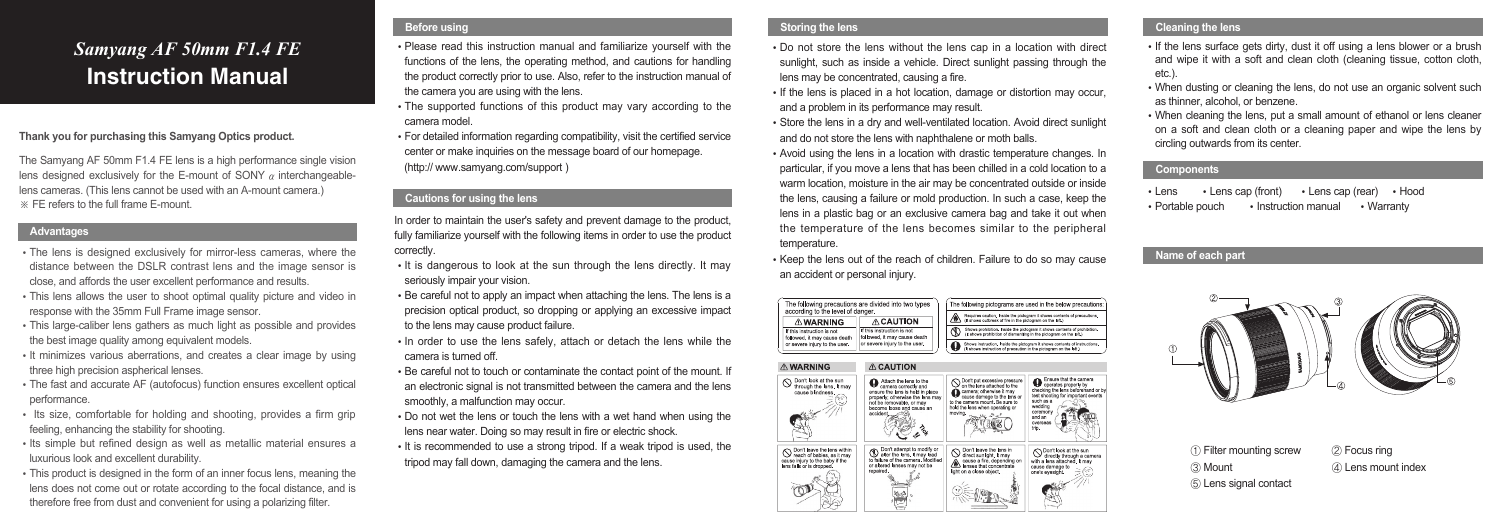### **Thank you for purchasing this Samyang Optics product.**

The Samyang AF 50mm F1.4 FE lens is a high performance single vision lens designed exclusively for the E-mount of SONY  $\alpha$  interchangeablelens cameras. (This lens cannot be used with an A-mount camera.) ※ FE refers to the full frame E-mount.

- The lens is designed exclusively for mirror-less cameras, where the distance between the DSLR contrast lens and the image sensor is close, and affords the user excellent performance and results.
- This lens allows the user to shoot optimal quality picture and video in response with the 35mm Full Frame image sensor.
- This large-caliber lens gathers as much light as possible and provides the best image quality among equivalent models.
- It minimizes various aberrations, and creates a clear image by using three high precision aspherical lenses.
- The fast and accurate AF (autofocus) function ensures excellent optical performance.
- Its size, comfortable for holding and shooting, provides a firm grip feeling, enhancing the stability for shooting.
- Its simple but refined design as well as metallic material ensures a luxurious look and excellent durability.
- This product is designed in the form of an inner focus lens, meaning the lens does not come out or rotate according to the focal distance, and is therefore free from dust and convenient for using a polarizing filter.

In order to maintain the user's safety and prevent damage to the product, fully familiarize yourself with the following items in order to use the product correctly.

- It is dangerous to look at the sun through the lens directly. It may seriously impair your vision.
- Be careful not to apply an impact when attaching the lens. The lens is a precision optical product, so dropping or applying an excessive impact to the lens may cause product failure.
- In order to use the lens safely, attach or detach the lens while the camera is turned off.
- Be careful not to touch or contaminate the contact point of the mount. If an electronic signal is not transmitted between the camera and the lens smoothly, a malfunction may occur.
- Do not wet the lens or touch the lens with a wet hand when using the lens near water. Doing so may result in fire or electric shock.
- It is recommended to use a strong tripod. If a weak tripod is used, the tripod may fall down, damaging the camera and the lens.

- Please read this instruction manual and familiarize yourself with the functions of the lens, the operating method, and cautions for handling the product correctly prior to use. Also, refer to the instruction manual of the camera you are using with the lens.
- The supported functions of this product may vary according to the camera model.
- For detailed information regarding compatibility, visit the certified service center or make inquiries on the message board of our homepage. (http:// www.samyang.com/support )
- If the lens surface gets dirty, dust it off using a lens blower or a brush and wipe it with a soft and clean cloth (cleaning tissue, cotton cloth, etc.)
- When dusting or cleaning the lens, do not use an organic solvent such as thinner, alcohol, or benzene.
- When cleaning the lens, put a small amount of ethanol or lens cleaner on a soft and clean cloth or a cleaning paper and wipe the lens by circling outwards from its center.
- Do not store the lens without the lens cap in a location with direct sunlight, such as inside a vehicle. Direct sunlight passing through the lens may be concentrated, causing a fire.
- If the lens is placed in a hot location, damage or distortion may occur. and a problem in its performance may result.
- Store the lens in a dry and well-ventilated location. Avoid direct sunlight and do not store the lens with naphthalene or moth balls.
- Avoid using the lens in a location with drastic temperature changes. In particular, if you move a lens that has been chilled in a cold location to a warm location, moisture in the air may be concentrated outside or inside the lens, causing a failure or mold production. In such a case, keep the lens in a plastic bag or an exclusive camera bag and take it out when the temperature of the lens becomes similar to the peripheral temperature.
- Keep the lens out of the reach of children. Failure to do so may cause an accident or personal injury.



# **Storing the lens Cleaning the lens Cleaning the lens**

- ① Filter mounting screw
- ③ Mount
- ⑤ Lens signal contact
- ② Focus ring
- ④ Lens mount index

# *Samyang AF 50mm F1.4 FE* **Instruction Manual**

# **Advantages**

# **Before using**

# **Cautions for using the lens**

#### **Components**

- $\cdot$  Lens  $\cdot$  Lens cap (front)  $\cdot$  Lens cap (rear)  $\cdot$  Hood
- $\cdot$  Portable pouch  $\cdot$  Instruction manual  $\cdot$  Warranty

#### **Name of each part**